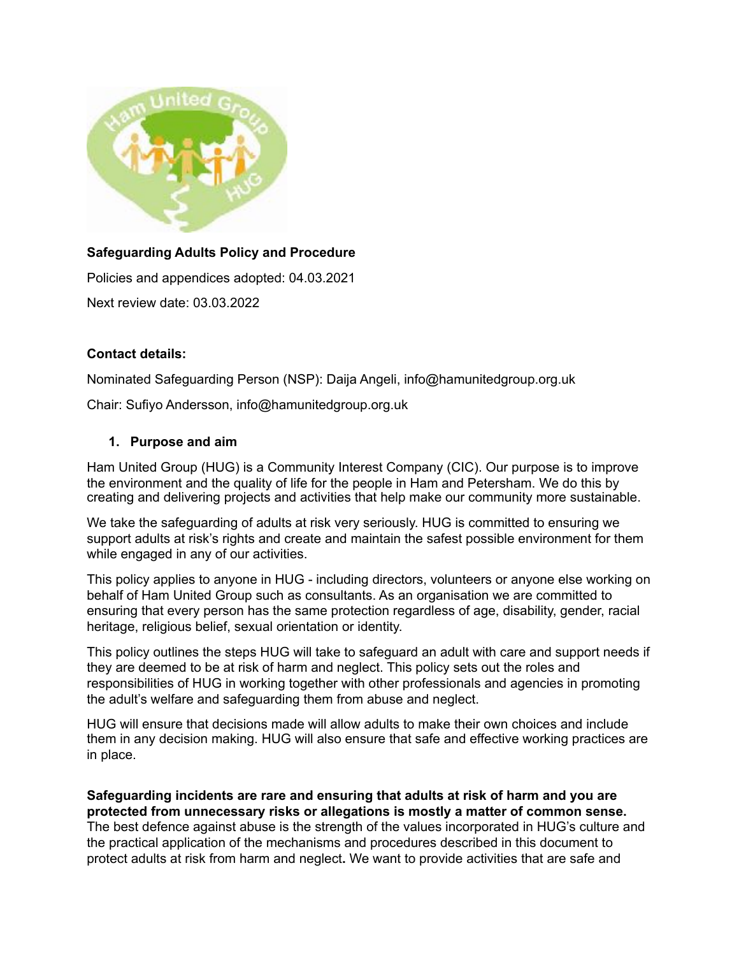

# **Safeguarding Adults Policy and Procedure**

Policies and appendices adopted: 04.03.2021

Next review date: 03.03.2022

### **Contact details:**

Nominated Safeguarding Person (NSP): Daija Angeli, info@hamunitedgroup.org.uk

Chair: Sufiyo Andersson, info@hamunitedgroup.org.uk

### **1. Purpose and aim**

Ham United Group (HUG) is a Community Interest Company (CIC). Our purpose is to improve the environment and the quality of life for the people in Ham and Petersham. We do this by creating and delivering projects and activities that help make our community more sustainable.

We take the safeguarding of adults at risk very seriously. HUG is committed to ensuring we support adults at risk's rights and create and maintain the safest possible environment for them while engaged in any of our activities.

This policy applies to anyone in HUG - including directors, volunteers or anyone else working on behalf of Ham United Group such as consultants. As an organisation we are committed to ensuring that every person has the same protection regardless of age, disability, gender, racial heritage, religious belief, sexual orientation or identity.

This policy outlines the steps HUG will take to safeguard an adult with care and support needs if they are deemed to be at risk of harm and neglect. This policy sets out the roles and responsibilities of HUG in working together with other professionals and agencies in promoting the adult's welfare and safeguarding them from abuse and neglect.

HUG will ensure that decisions made will allow adults to make their own choices and include them in any decision making. HUG will also ensure that safe and effective working practices are in place.

**Safeguarding incidents are rare and ensuring that adults at risk of harm and you are protected from unnecessary risks or allegations is mostly a matter of common sense.**  The best defence against abuse is the strength of the values incorporated in HUG's culture and the practical application of the mechanisms and procedures described in this document to protect adults at risk from harm and neglect**.** We want to provide activities that are safe and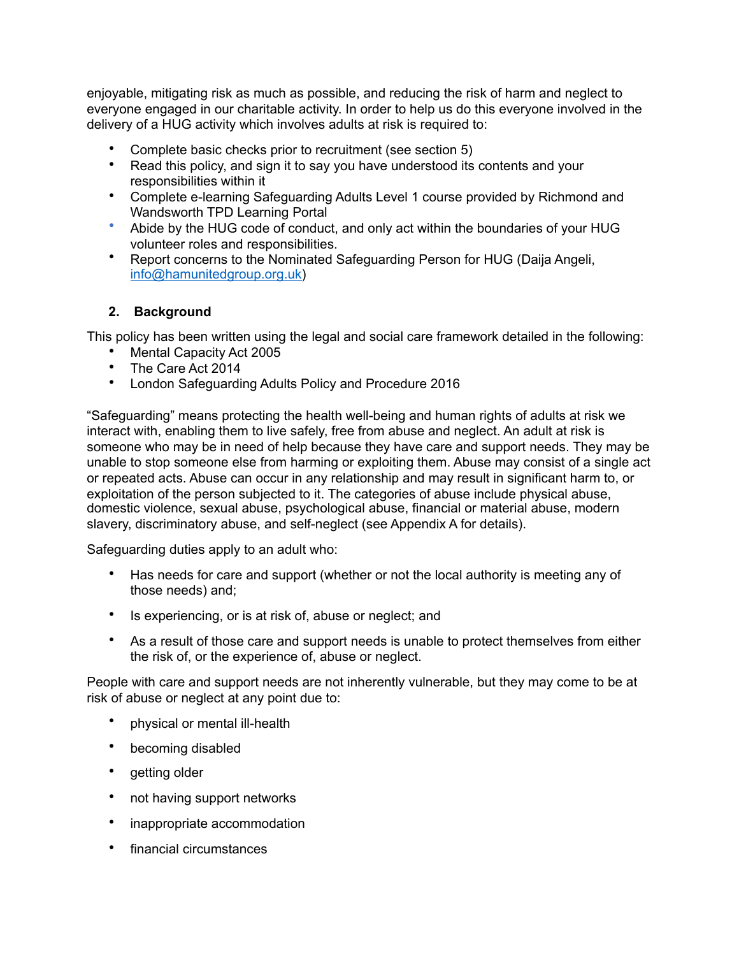enjoyable, mitigating risk as much as possible, and reducing the risk of harm and neglect to everyone engaged in our charitable activity. In order to help us do this everyone involved in the delivery of a HUG activity which involves adults at risk is required to:

- Complete basic checks prior to recruitment (see section 5)
- Read this policy, and sign it to say you have understood its contents and your responsibilities within it
- Complete e-learning Safeguarding Adults Level 1 course provided by Richmond and Wandsworth TPD Learning Portal
- Abide by the HUG code of conduct, and only act within the boundaries of your HUG volunteer roles and responsibilities.
- Report concerns to the Nominated Safeguarding Person for HUG (Daija Angeli, [info@hamunitedgroup.org.uk](mailto:info@hamunitedgroup.org.uk))

# **2. Background**

This policy has been written using the legal and social care framework detailed in the following:

- Mental Capacity Act 2005
- The Care Act 2014
- London Safeguarding Adults Policy and Procedure 2016

"Safeguarding" means protecting the health well-being and human rights of adults at risk we interact with, enabling them to live safely, free from abuse and neglect. An adult at risk is someone who may be in need of help because they have care and support needs. They may be unable to stop someone else from harming or exploiting them. Abuse may consist of a single act or repeated acts. Abuse can occur in any relationship and may result in significant harm to, or exploitation of the person subjected to it. The categories of abuse include physical abuse, domestic violence, sexual abuse, psychological abuse, financial or material abuse, modern slavery, discriminatory abuse, and self-neglect (see Appendix A for details).

Safeguarding duties apply to an adult who:

- Has needs for care and support (whether or not the local authority is meeting any of those needs) and;
- Is experiencing, or is at risk of, abuse or neglect; and
- As a result of those care and support needs is unable to protect themselves from either the risk of, or the experience of, abuse or neglect.

People with care and support needs are not inherently vulnerable, but they may come to be at risk of abuse or neglect at any point due to:

- physical or mental ill-health
- becoming disabled
- getting older
- not having support networks
- inappropriate accommodation
- financial circumstances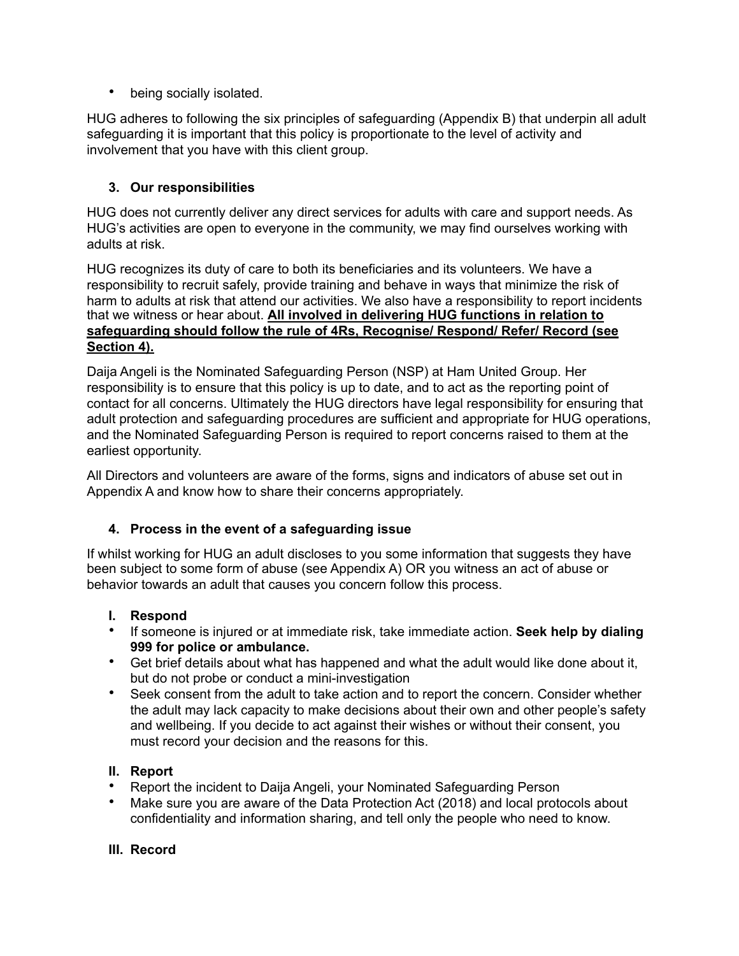• being socially isolated.

HUG adheres to following the six principles of safeguarding (Appendix B) that underpin all adult safeguarding it is important that this policy is proportionate to the level of activity and involvement that you have with this client group.

# **3. Our responsibilities**

HUG does not currently deliver any direct services for adults with care and support needs. As HUG's activities are open to everyone in the community, we may find ourselves working with adults at risk.

HUG recognizes its duty of care to both its beneficiaries and its volunteers. We have a responsibility to recruit safely, provide training and behave in ways that minimize the risk of harm to adults at risk that attend our activities. We also have a responsibility to report incidents that we witness or hear about. **All involved in delivering HUG functions in relation to safeguarding should follow the rule of 4Rs, Recognise/ Respond/ Refer/ Record (see Section 4).**

Daija Angeli is the Nominated Safeguarding Person (NSP) at Ham United Group. Her responsibility is to ensure that this policy is up to date, and to act as the reporting point of contact for all concerns. Ultimately the HUG directors have legal responsibility for ensuring that adult protection and safeguarding procedures are sufficient and appropriate for HUG operations, and the Nominated Safeguarding Person is required to report concerns raised to them at the earliest opportunity.

All Directors and volunteers are aware of the forms, signs and indicators of abuse set out in Appendix A and know how to share their concerns appropriately.

# **4. Process in the event of a safeguarding issue**

If whilst working for HUG an adult discloses to you some information that suggests they have been subject to some form of abuse (see Appendix A) OR you witness an act of abuse or behavior towards an adult that causes you concern follow this process.

# **I. Respond**

- If someone is injured or at immediate risk, take immediate action. **Seek help by dialing 999 for police or ambulance.**
- Get brief details about what has happened and what the adult would like done about it, but do not probe or conduct a mini-investigation
- Seek consent from the adult to take action and to report the concern. Consider whether the adult may lack capacity to make decisions about their own and other people's safety and wellbeing. If you decide to act against their wishes or without their consent, you must record your decision and the reasons for this.

# **II. Report**

- Report the incident to Daija Angeli, your Nominated Safeguarding Person
- Make sure you are aware of the Data Protection Act (2018) and local protocols about confidentiality and information sharing, and tell only the people who need to know.

# **III. Record**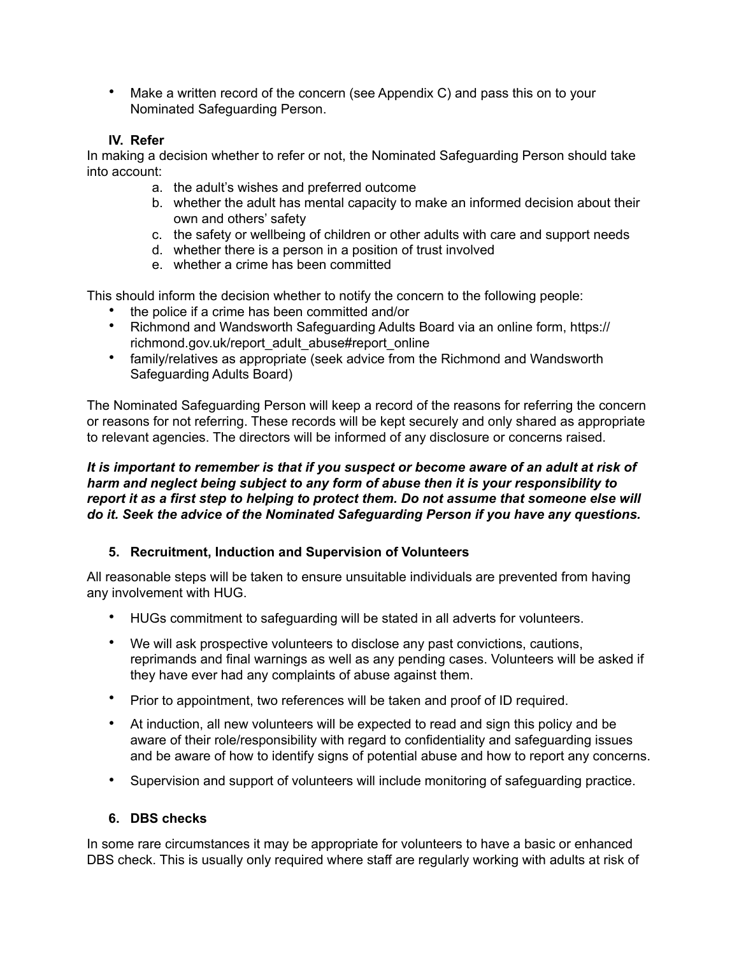• Make a written record of the concern (see Appendix C) and pass this on to your Nominated Safeguarding Person.

### **IV. Refer**

In making a decision whether to refer or not, the Nominated Safeguarding Person should take into account:

- a. the adult's wishes and preferred outcome
- b. whether the adult has mental capacity to make an informed decision about their own and others' safety
- c. the safety or wellbeing of children or other adults with care and support needs
- d. whether there is a person in a position of trust involved
- e. whether a crime has been committed

This should inform the decision whether to notify the concern to the following people:

- the police if a crime has been committed and/or
- Richmond and Wandsworth Safeguarding Adults Board via an online form, [https://](https://richmond.gov.uk/report_adult_abuse#report_online) [richmond.gov.uk/report\\_adult\\_abuse#report\\_online](https://richmond.gov.uk/report_adult_abuse#report_online)
- family/relatives as appropriate (seek advice from the Richmond and Wandsworth Safeguarding Adults Board)

The Nominated Safeguarding Person will keep a record of the reasons for referring the concern or reasons for not referring. These records will be kept securely and only shared as appropriate to relevant agencies. The directors will be informed of any disclosure or concerns raised.

*It is important to remember is that if you suspect or become aware of an adult at risk of harm and neglect being subject to any form of abuse then it is your responsibility to report it as a first step to helping to protect them. Do not assume that someone else will do it. Seek the advice of the Nominated Safeguarding Person if you have any questions.* 

# **5. Recruitment, Induction and Supervision of Volunteers**

All reasonable steps will be taken to ensure unsuitable individuals are prevented from having any involvement with HUG.

- HUGs commitment to safeguarding will be stated in all adverts for volunteers.
- We will ask prospective volunteers to disclose any past convictions, cautions, reprimands and final warnings as well as any pending cases. Volunteers will be asked if they have ever had any complaints of abuse against them.
- Prior to appointment, two references will be taken and proof of ID required.
- At induction, all new volunteers will be expected to read and sign this policy and be aware of their role/responsibility with regard to confidentiality and safeguarding issues and be aware of how to identify signs of potential abuse and how to report any concerns.
- Supervision and support of volunteers will include monitoring of safeguarding practice.

### **6. DBS checks**

In some rare circumstances it may be appropriate for volunteers to have a basic or enhanced DBS check. This is usually only required where staff are regularly working with adults at risk of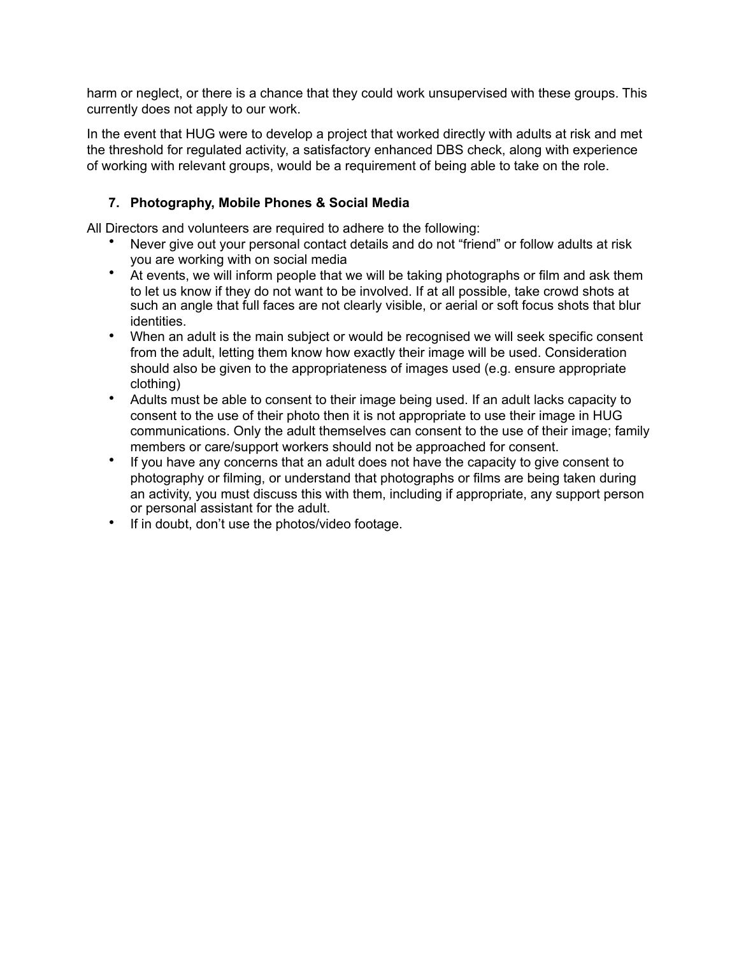harm or neglect, or there is a chance that they could work unsupervised with these groups. This currently does not apply to our work.

In the event that HUG were to develop a project that worked directly with adults at risk and met the threshold for regulated activity, a satisfactory enhanced DBS check, along with experience of working with relevant groups, would be a requirement of being able to take on the role.

# **7. Photography, Mobile Phones & Social Media**

All Directors and volunteers are required to adhere to the following:

- Never give out your personal contact details and do not "friend" or follow adults at risk you are working with on social media
- At events, we will inform people that we will be taking photographs or film and ask them to let us know if they do not want to be involved. If at all possible, take crowd shots at such an angle that full faces are not clearly visible, or aerial or soft focus shots that blur identities.
- When an adult is the main subject or would be recognised we will seek specific consent from the adult, letting them know how exactly their image will be used. Consideration should also be given to the appropriateness of images used (e.g. ensure appropriate clothing)
- Adults must be able to consent to their image being used. If an adult lacks capacity to consent to the use of their photo then it is not appropriate to use their image in HUG communications. Only the adult themselves can consent to the use of their image; family members or care/support workers should not be approached for consent.
- If you have any concerns that an adult does not have the capacity to give consent to photography or filming, or understand that photographs or films are being taken during an activity, you must discuss this with them, including if appropriate, any support person or personal assistant for the adult.
- If in doubt, don't use the photos/video footage.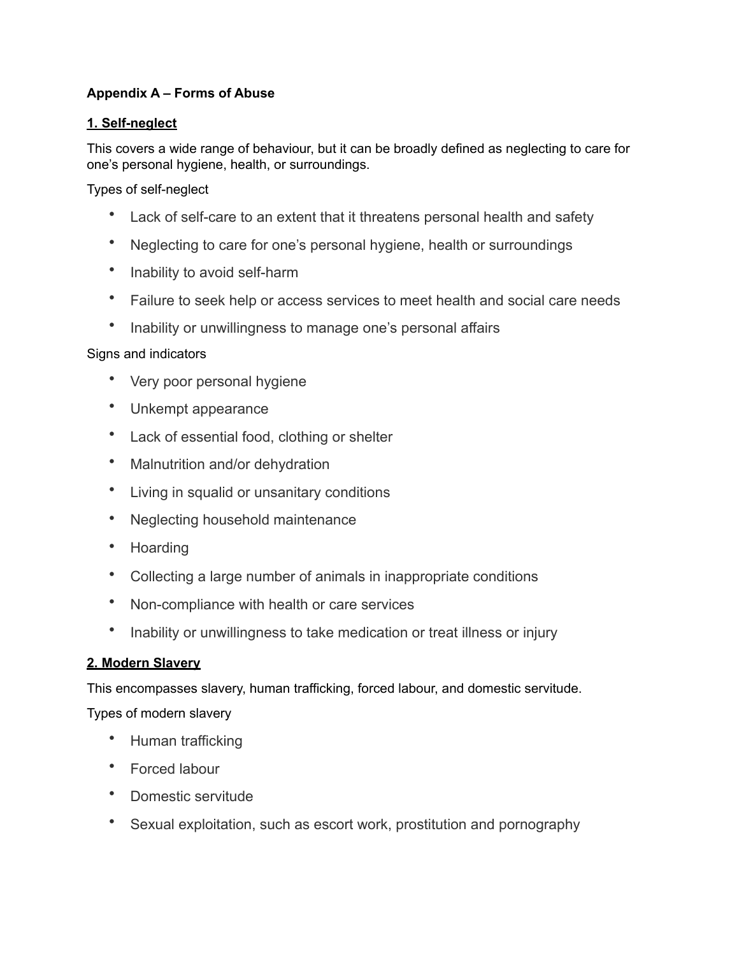# **Appendix A – Forms of Abuse**

# **1. [Self-neglect](https://www.anncrafttrust.org/what-is-self-neglect/)**

This covers a wide range of behaviour, but it can be broadly defined as neglecting to care for one's personal hygiene, health, or surroundings.

Types of self-neglect

- Lack of self-care to an extent that it threatens personal health and safety
- Neglecting to care for one's personal hygiene, health or surroundings
- Inability to avoid self-harm
- Failure to seek help or access services to meet health and social care needs
- Inability or unwillingness to manage one's personal affairs

# Signs and indicators

- Very poor personal hygiene
- Unkempt appearance
- Lack of essential food, clothing or shelter
- Malnutrition and/or dehydration
- Living in squalid or unsanitary conditions
- Neglecting household maintenance
- Hoarding
- Collecting a large number of animals in inappropriate conditions
- Non-compliance with health or care services
- Inability or unwillingness to take medication or treat illness or injury

# **2. [Modern Slavery](https://www.anncrafttrust.org/what-is-modern-slavery/)**

This encompasses slavery, human trafficking, forced labour, and domestic servitude.

Types of modern slavery

- Human trafficking
- Forced labour
- Domestic servitude
- Sexual exploitation, such as escort work, prostitution and pornography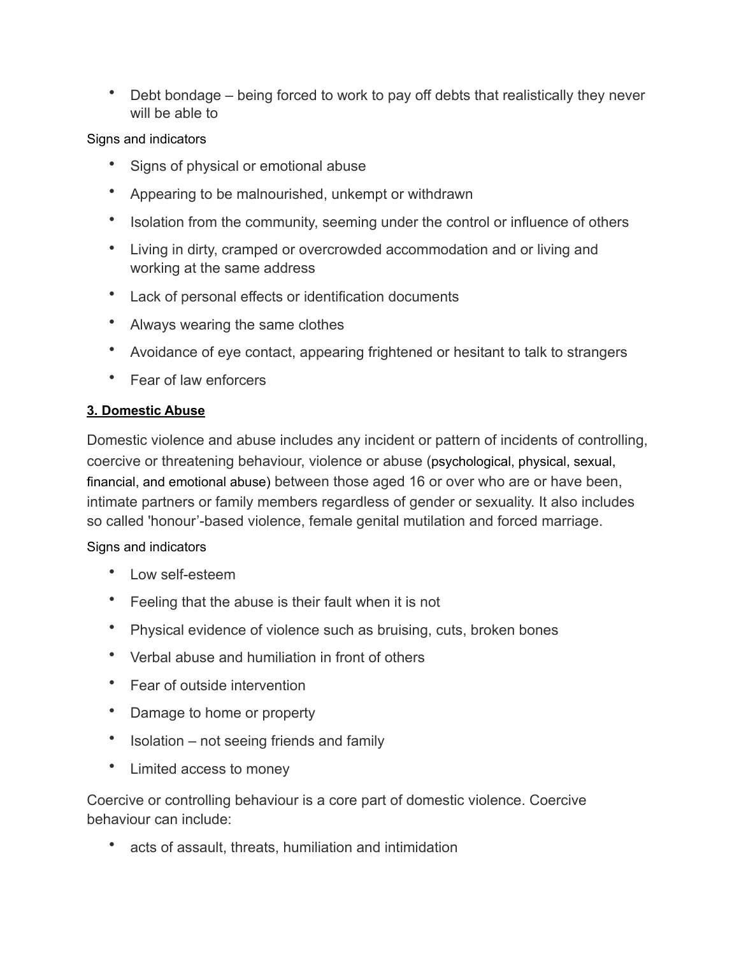• Debt bondage – being forced to work to pay off debts that realistically they never will be able to

Signs and indicators

- Signs of physical or emotional abuse
- Appearing to be malnourished, unkempt or withdrawn
- Isolation from the community, seeming under the control or influence of others
- Living in dirty, cramped or overcrowded accommodation and or living and working at the same address
- Lack of personal effects or identification documents
- Always wearing the same clothes
- Avoidance of eye contact, appearing frightened or hesitant to talk to strangers
- Fear of law enforcers

# **3. [Domestic Abuse](https://www.anncrafttrust.org/disability-domestic-abuse/)**

Domestic violence and abuse includes any incident or pattern of incidents of controlling, coercive or threatening behaviour, violence or abuse (psychological, physical, sexual, financial, and emotional abuse) between those aged 16 or over who are or have been, intimate partners or family members regardless of gender or sexuality. It also includes so called 'honour'-based violence, female genital mutilation and forced marriage.

# Signs and indicators

- Low self-esteem
- Feeling that the abuse is their fault when it is not
- Physical evidence of violence such as bruising, cuts, broken bones
- Verbal abuse and humiliation in front of others
- Fear of outside intervention
- Damage to home or property
- Isolation not seeing friends and family
- Limited access to money

Coercive or controlling behaviour is a core part of domestic violence. Coercive behaviour can include:

• acts of assault, threats, humiliation and intimidation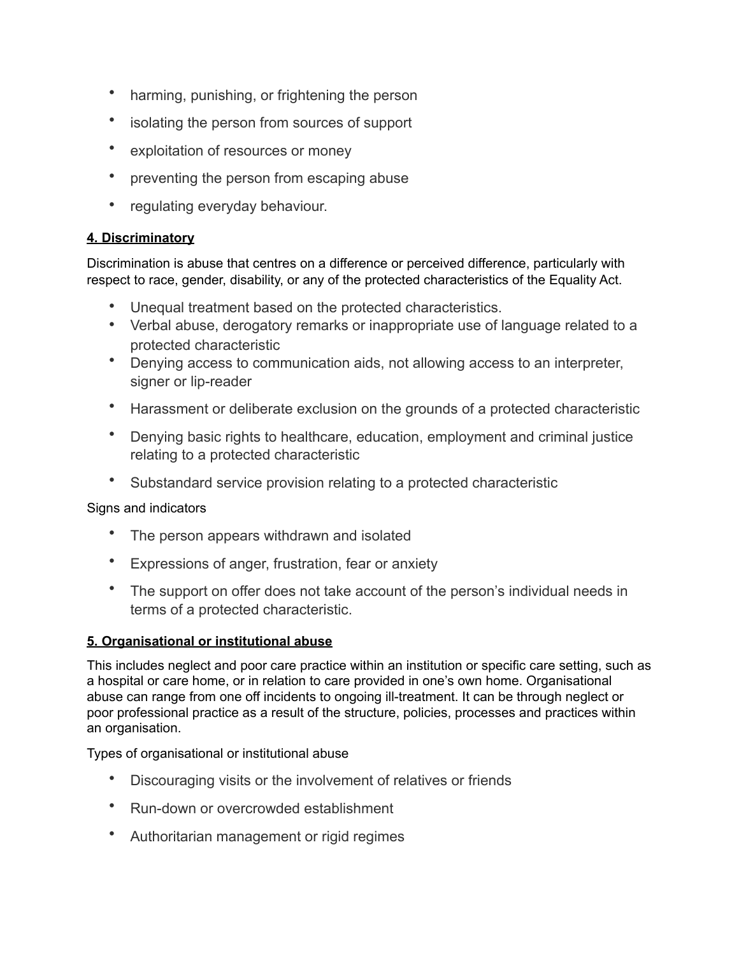- harming, punishing, or frightening the person
- isolating the person from sources of support
- exploitation of resources or money
- preventing the person from escaping abuse
- regulating everyday behaviour.

# **4. [Discriminatory](https://www.anncrafttrust.org/what-is-discriminatory-abuse/)**

Discrimination is abuse that centres on a difference or perceived difference, particularly with respect to race, gender, disability, or any of the protected characteristics of the Equality Act.

- Unequal treatment based on the protected characteristics.
- Verbal abuse, derogatory remarks or inappropriate use of language related to a protected characteristic
- Denying access to communication aids, not allowing access to an interpreter, signer or lip-reader
- Harassment or deliberate exclusion on the grounds of a protected characteristic
- Denying basic rights to healthcare, education, employment and criminal justice relating to a protected characteristic
- Substandard service provision relating to a protected characteristic

# Signs and indicators

- The person appears withdrawn and isolated
- Expressions of anger, frustration, fear or anxiety
- The support on offer does not take account of the person's individual needs in terms of a protected characteristic.

# **5. Organisational or institutional abuse**

This includes neglect and poor care practice within an institution or specific care setting, such as a hospital or care home, or in relation to care provided in one's own home. Organisational abuse can range from one off incidents to ongoing ill-treatment. It can be through neglect or poor professional practice as a result of the structure, policies, processes and practices within an organisation.

Types of organisational or institutional abuse

- Discouraging visits or the involvement of relatives or friends
- Run-down or overcrowded establishment
- Authoritarian management or rigid regimes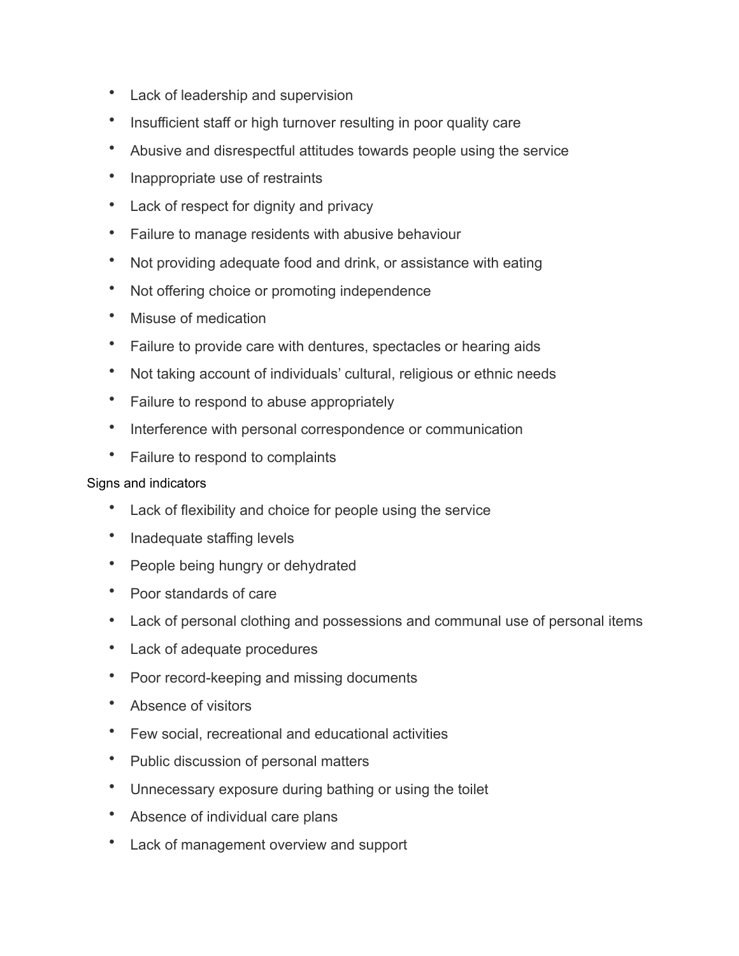- Lack of leadership and supervision
- Insufficient staff or high turnover resulting in poor quality care
- Abusive and disrespectful attitudes towards people using the service
- Inappropriate use of restraints
- Lack of respect for dignity and privacy
- Failure to manage residents with abusive behaviour
- Not providing adequate food and drink, or assistance with eating
- Not offering choice or promoting independence
- Misuse of medication
- Failure to provide care with dentures, spectacles or hearing aids
- Not taking account of individuals' cultural, religious or ethnic needs
- Failure to respond to abuse appropriately
- Interference with personal correspondence or communication
- Failure to respond to complaints

- Lack of flexibility and choice for people using the service
- Inadequate staffing levels
- People being hungry or dehydrated
- Poor standards of care
- Lack of personal clothing and possessions and communal use of personal items
- Lack of adequate procedures
- Poor record-keeping and missing documents
- Absence of visitors
- Few social, recreational and educational activities
- Public discussion of personal matters
- Unnecessary exposure during bathing or using the toilet
- Absence of individual care plans
- Lack of management overview and support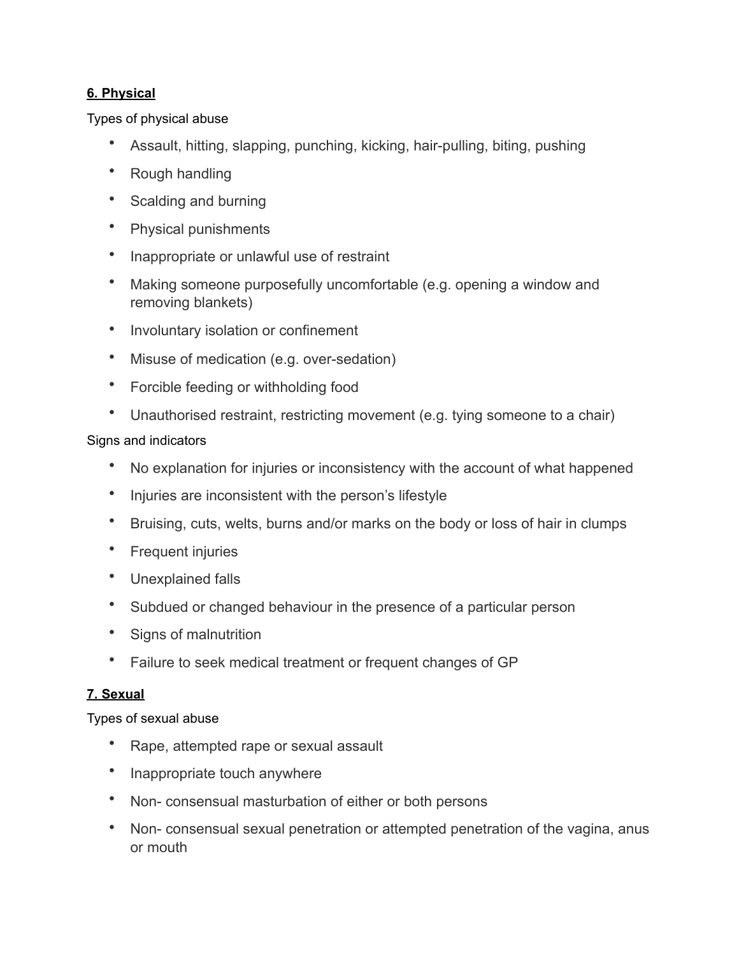# **6. [Physical](https://www.anncrafttrust.org/what-is-physical-abuse/)**

# Types of physical abuse

- Assault, hitting, slapping, punching, kicking, hair-pulling, biting, pushing
- Rough handling
- Scalding and burning
- Physical punishments
- Inappropriate or unlawful use of restraint
- Making someone purposefully uncomfortable (e.g. opening a window and removing blankets)
- Involuntary isolation or confinement
- Misuse of medication (e.g. over-sedation)
- Forcible feeding or withholding food
- Unauthorised restraint, restricting movement (e.g. tying someone to a chair)

# Signs and indicators

- No explanation for injuries or inconsistency with the account of what happened
- Injuries are inconsistent with the person's lifestyle
- Bruising, cuts, welts, burns and/or marks on the body or loss of hair in clumps
- Frequent injuries
- Unexplained falls
- Subdued or changed behaviour in the presence of a particular person
- Signs of malnutrition
- Failure to seek medical treatment or frequent changes of GP

# **7. [Sexual](https://www.anncrafttrust.org/what-is-sexual-abuse/)**

Types of sexual abuse

- Rape, attempted rape or sexual assault
- Inappropriate touch anywhere
- Non- consensual masturbation of either or both persons
- Non- consensual sexual penetration or attempted penetration of the vagina, anus or mouth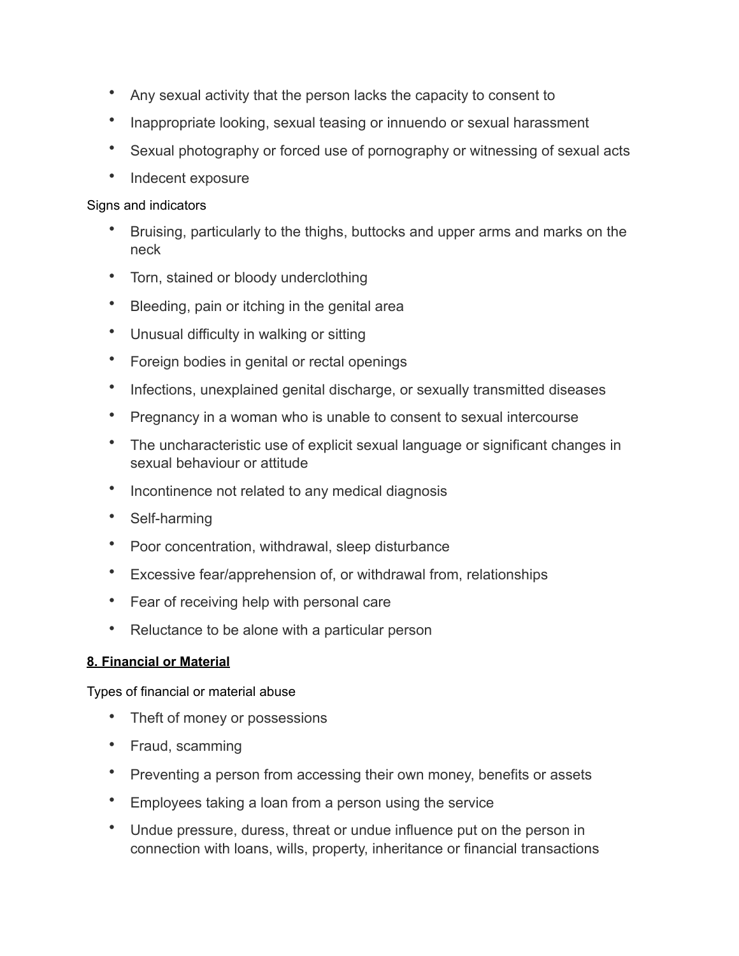- Any sexual activity that the person lacks the capacity to consent to
- Inappropriate looking, sexual teasing or innuendo or sexual harassment
- Sexual photography or forced use of pornography or witnessing of sexual acts
- Indecent exposure

- Bruising, particularly to the thighs, buttocks and upper arms and marks on the neck
- Torn, stained or bloody underclothing
- Bleeding, pain or itching in the genital area
- Unusual difficulty in walking or sitting
- Foreign bodies in genital or rectal openings
- Infections, unexplained genital discharge, or sexually transmitted diseases
- Pregnancy in a woman who is unable to consent to sexual intercourse
- The uncharacteristic use of explicit sexual language or significant changes in sexual behaviour or attitude
- Incontinence not related to any medical diagnosis
- Self-harming
- Poor concentration, withdrawal, sleep disturbance
- Excessive fear/apprehension of, or withdrawal from, relationships
- Fear of receiving help with personal care
- Reluctance to be alone with a particular person

# **8. [Financial or Material](https://www.anncrafttrust.org/what-is-financial-abuse/)**

Types of financial or material abuse

- Theft of money or possessions
- Fraud, scamming
- Preventing a person from accessing their own money, benefits or assets
- Employees taking a loan from a person using the service
- Undue pressure, duress, threat or undue influence put on the person in connection with loans, wills, property, inheritance or financial transactions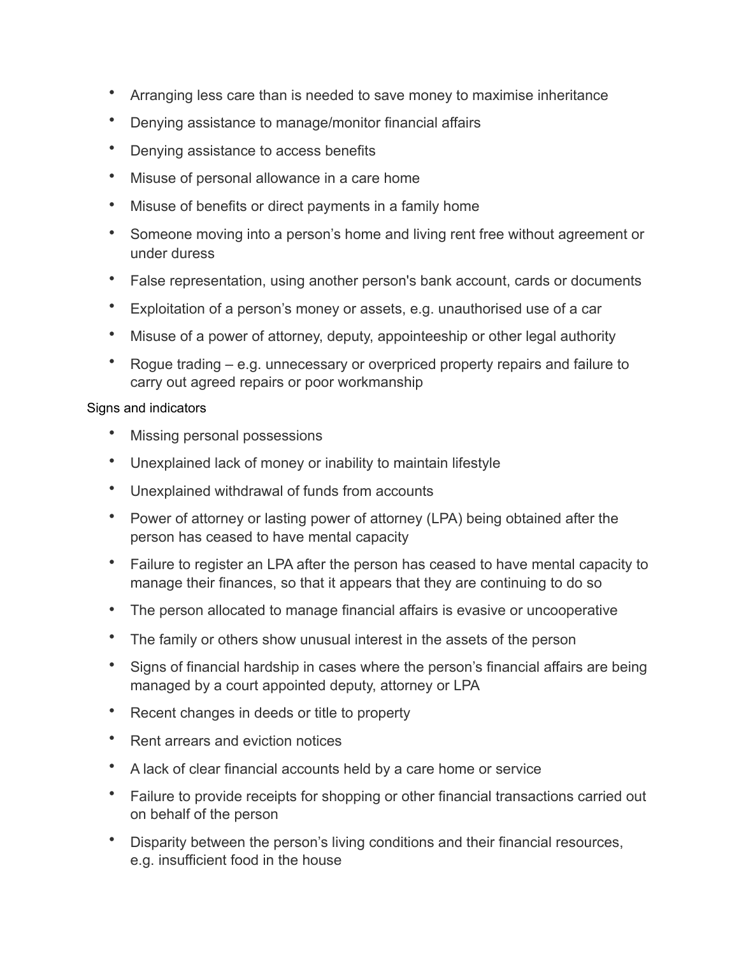- Arranging less care than is needed to save money to maximise inheritance
- Denying assistance to manage/monitor financial affairs
- Denying assistance to access benefits
- Misuse of personal allowance in a care home
- Misuse of benefits or direct payments in a family home
- Someone moving into a person's home and living rent free without agreement or under duress
- False representation, using another person's bank account, cards or documents
- Exploitation of a person's money or assets, e.g. unauthorised use of a car
- Misuse of a power of attorney, deputy, appointeeship or other legal authority
- Rogue trading e.g. unnecessary or overpriced property repairs and failure to carry out agreed repairs or poor workmanship

- Missing personal possessions
- Unexplained lack of money or inability to maintain lifestyle
- Unexplained withdrawal of funds from accounts
- Power of attorney or lasting power of attorney (LPA) being obtained after the person has ceased to have mental capacity
- Failure to register an LPA after the person has ceased to have mental capacity to manage their finances, so that it appears that they are continuing to do so
- The person allocated to manage financial affairs is evasive or uncooperative
- The family or others show unusual interest in the assets of the person
- Signs of financial hardship in cases where the person's financial affairs are being managed by a court appointed deputy, attorney or LPA
- Recent changes in deeds or title to property
- Rent arrears and eviction notices
- A lack of clear financial accounts held by a care home or service
- Failure to provide receipts for shopping or other financial transactions carried out on behalf of the person
- Disparity between the person's living conditions and their financial resources, e.g. insufficient food in the house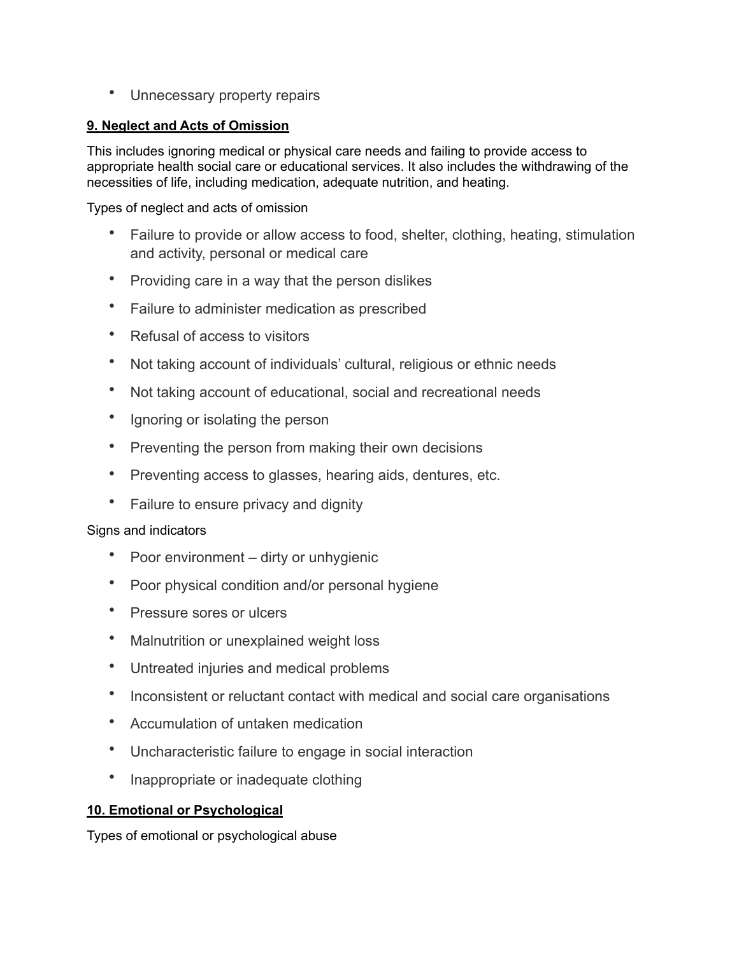• Unnecessary property repairs

# **9. [Neglect and Acts of Omission](https://www.anncrafttrust.org/what-is-neglect/)**

This includes ignoring medical or physical care needs and failing to provide access to appropriate health social care or educational services. It also includes the withdrawing of the necessities of life, including medication, adequate nutrition, and heating.

Types of neglect and acts of omission

- Failure to provide or allow access to food, shelter, clothing, heating, stimulation and activity, personal or medical care
- Providing care in a way that the person dislikes
- Failure to administer medication as prescribed
- Refusal of access to visitors
- Not taking account of individuals' cultural, religious or ethnic needs
- Not taking account of educational, social and recreational needs
- Ignoring or isolating the person
- Preventing the person from making their own decisions
- Preventing access to glasses, hearing aids, dentures, etc.
- Failure to ensure privacy and dignity

# Signs and indicators

- Poor environment dirty or unhygienic
- Poor physical condition and/or personal hygiene
- Pressure sores or ulcers
- Malnutrition or unexplained weight loss
- Untreated injuries and medical problems
- Inconsistent or reluctant contact with medical and social care organisations
- Accumulation of untaken medication
- Uncharacteristic failure to engage in social interaction
- Inappropriate or inadequate clothing

# **10. [Emotional or Psychological](https://www.anncrafttrust.org/what-is-emotional-abuse/)**

Types of emotional or psychological abuse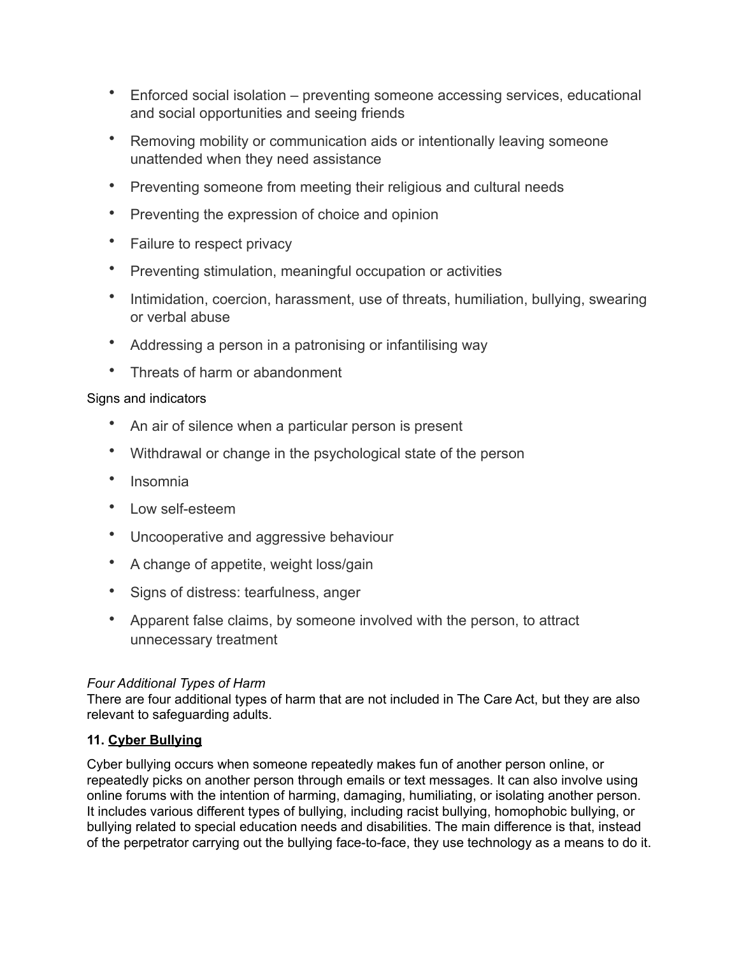- Enforced social isolation preventing someone accessing services, educational and social opportunities and seeing friends
- Removing mobility or communication aids or intentionally leaving someone unattended when they need assistance
- Preventing someone from meeting their religious and cultural needs
- Preventing the expression of choice and opinion
- Failure to respect privacy
- Preventing stimulation, meaningful occupation or activities
- Intimidation, coercion, harassment, use of threats, humiliation, bullying, swearing or verbal abuse
- Addressing a person in a patronising or infantilising way
- Threats of harm or abandonment

- An air of silence when a particular person is present
- Withdrawal or change in the psychological state of the person
- Insomnia
- Low self-esteem
- Uncooperative and aggressive behaviour
- A change of appetite, weight loss/gain
- Signs of distress: tearfulness, anger
- Apparent false claims, by someone involved with the person, to attract unnecessary treatment

# *Four Additional Types of Harm*

There are four additional types of harm that are not included in The Care Act, but they are also relevant to safeguarding adults.

# **11. [Cyber Bullying](https://www.anncrafttrust.org/what-is-cyber-bullying/)**

Cyber bullying occurs when someone repeatedly makes fun of another person online, or repeatedly picks on another person through emails or text messages. It can also involve using online forums with the intention of harming, damaging, humiliating, or isolating another person. It includes various different types of bullying, including racist bullying, homophobic bullying, or bullying related to special education needs and disabilities. The main difference is that, instead of the perpetrator carrying out the bullying face-to-face, they use technology as a means to do it.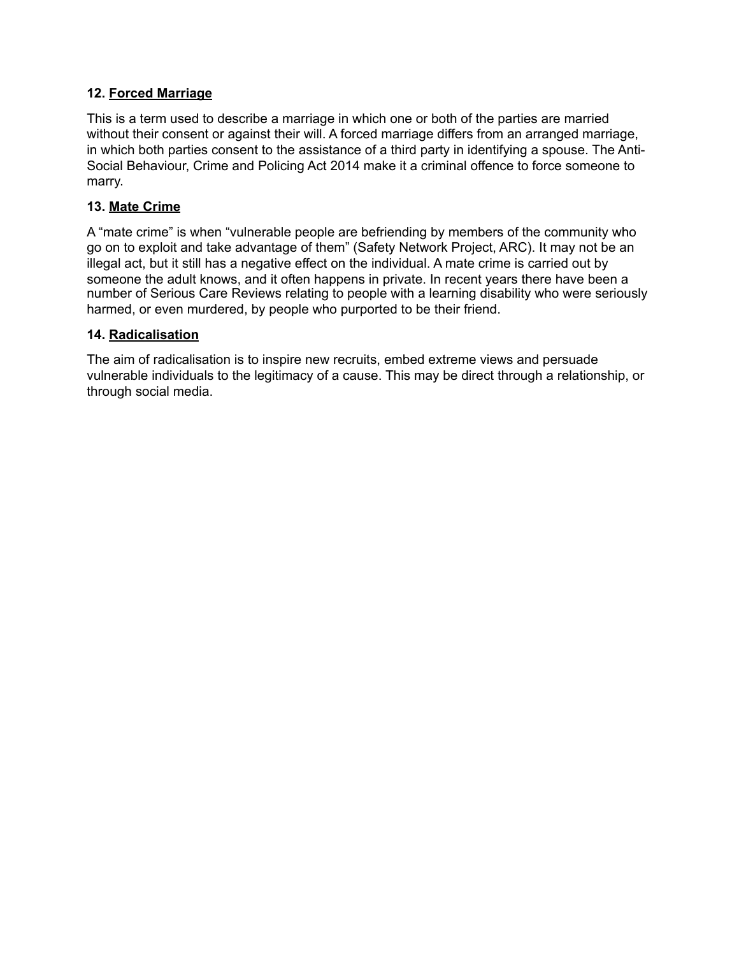### **12. [Forced Marriage](https://www.anncrafttrust.org/what-is-forced-marriage/)**

This is a term used to describe a marriage in which one or both of the parties are married without their consent or against their will. A forced marriage differs from an arranged marriage, in which both parties consent to the assistance of a third party in identifying a spouse. The Anti-Social Behaviour, Crime and Policing Act 2014 make it a criminal offence to force someone to marry.

### **13. [Mate Crime](https://www.anncrafttrust.org/what-is-disability-hate-crime/)**

A "mate crime" is when "vulnerable people are befriending by members of the community who go on to exploit and take advantage of them" (Safety Network Project, ARC). It may not be an illegal act, but it still has a negative effect on the individual. A mate crime is carried out by someone the adult knows, and it often happens in private. In recent years there have been a number of Serious Care Reviews relating to people with a learning disability who were seriously harmed, or even murdered, by people who purported to be their friend.

### **14. [Radicalisation](https://www.anncrafttrust.org/what-is-the-prevent-agenda/)**

The aim of radicalisation is to inspire new recruits, embed extreme views and persuade vulnerable individuals to the legitimacy of a cause. This may be direct through a relationship, or through social media.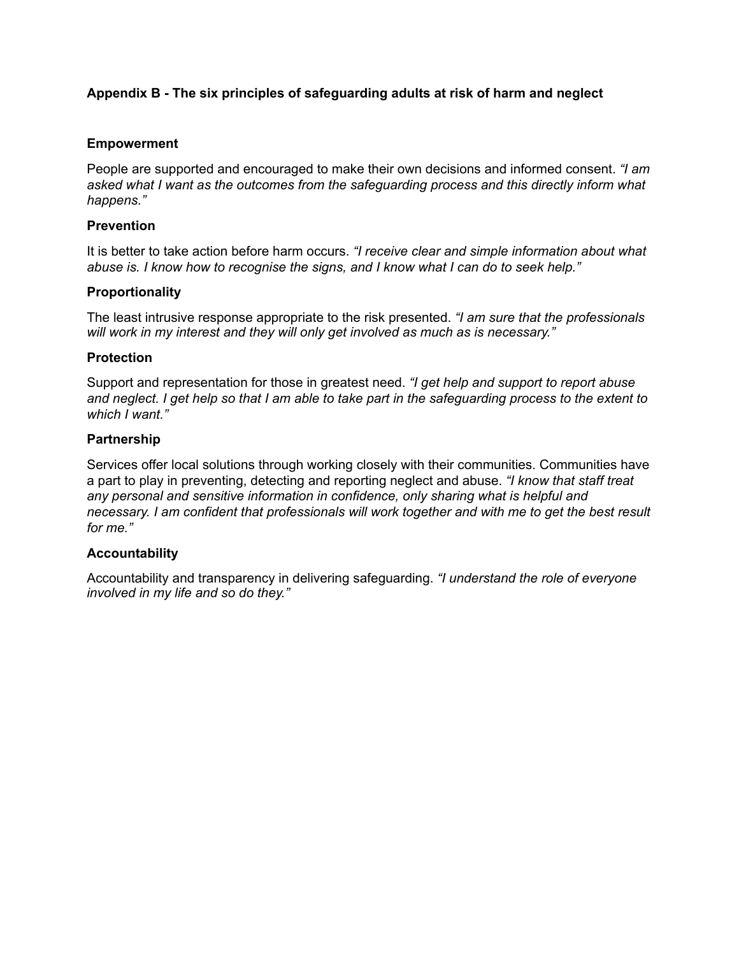# **Appendix B - The six principles of safeguarding adults at risk of harm and neglect**

### **Empowerment**

People are supported and encouraged to make their own decisions and informed consent. *"I am asked what I want as the outcomes from the safeguarding process and this directly inform what happens."* 

#### **Prevention**

It is better to take action before harm occurs. *"I receive clear and simple information about what abuse is. I know how to recognise the signs, and I know what I can do to seek help."* 

#### **Proportionality**

The least intrusive response appropriate to the risk presented. *"I am sure that the professionals will work in my interest and they will only get involved as much as is necessary."* 

#### **Protection**

Support and representation for those in greatest need. *"I get help and support to report abuse and neglect. I get help so that I am able to take part in the safeguarding process to the extent to which I want."* 

#### **Partnership**

Services offer local solutions through working closely with their communities. Communities have a part to play in preventing, detecting and reporting neglect and abuse. *"I know that staff treat any personal and sensitive information in confidence, only sharing what is helpful and necessary. I am confident that professionals will work together and with me to get the best result for me."* 

### **Accountability**

Accountability and transparency in delivering safeguarding. *"I understand the role of everyone involved in my life and so do they."*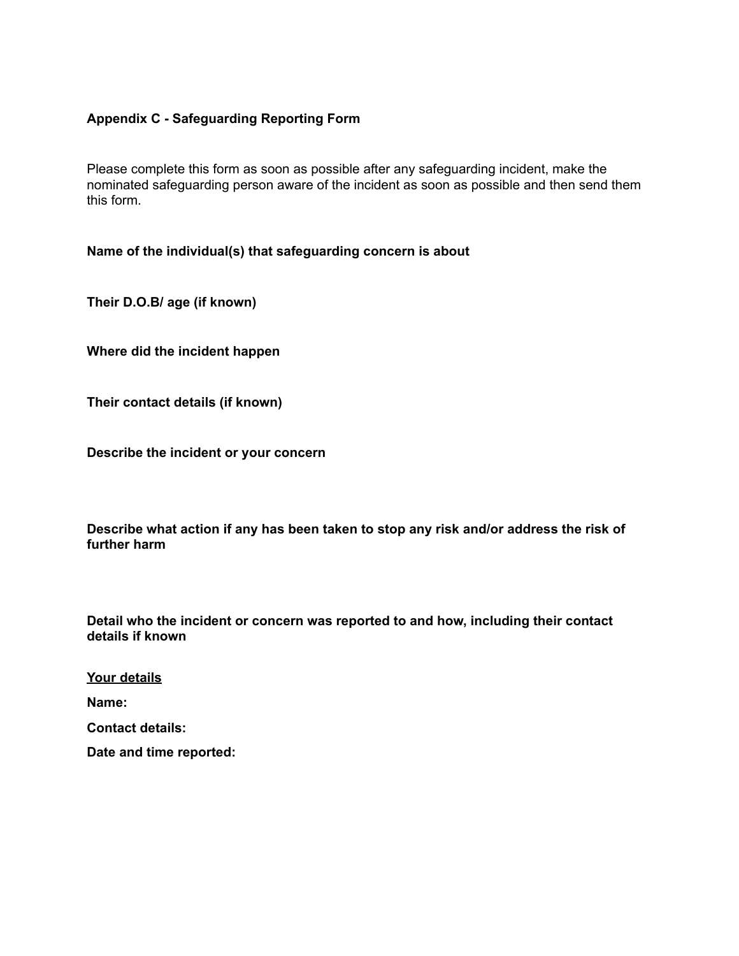### **Appendix C - Safeguarding Reporting Form**

Please complete this form as soon as possible after any safeguarding incident, make the nominated safeguarding person aware of the incident as soon as possible and then send them this form.

#### **Name of the individual(s) that safeguarding concern is about**

**Their D.O.B/ age (if known)** 

**Where did the incident happen** 

**Their contact details (if known)** 

**Describe the incident or your concern**

**Describe what action if any has been taken to stop any risk and/or address the risk of further harm** 

**Detail who the incident or concern was reported to and how, including their contact details if known**

**Your details**

**Name:** 

**Contact details:** 

**Date and time reported:**